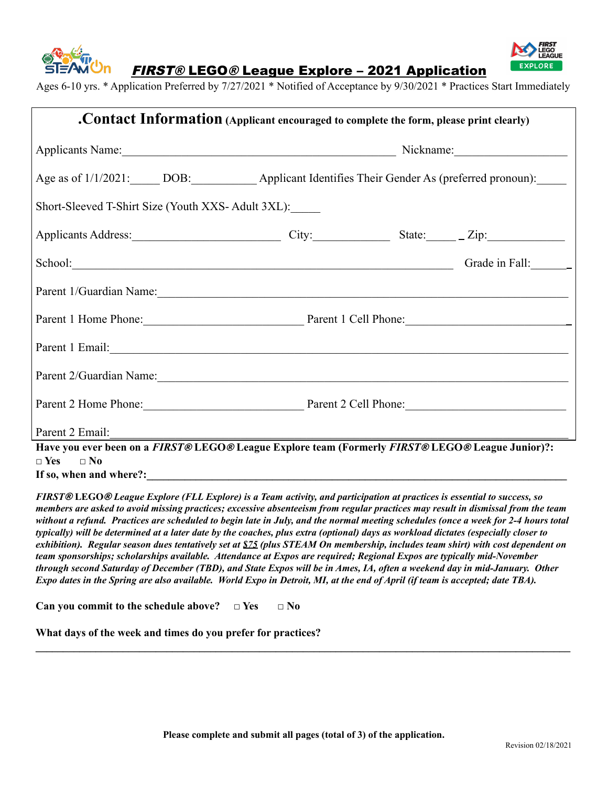



FIRST® LEGO® League Explore – 2021 Application

Ages 6-10 yrs. \* Application Preferred by 7/27/2021 \* Notified of Acceptance by 9/30/2021 \* Practices Start Immediately

| . Contact Information (Applicant encouraged to complete the form, please print clearly)                                                                                                                                        |                                                                                                            |  |
|--------------------------------------------------------------------------------------------------------------------------------------------------------------------------------------------------------------------------------|------------------------------------------------------------------------------------------------------------|--|
|                                                                                                                                                                                                                                |                                                                                                            |  |
|                                                                                                                                                                                                                                | Age as of 1/1/2021: DOB: _________________ Applicant Identifies Their Gender As (preferred pronoun): _____ |  |
| Short-Sleeved T-Shirt Size (Youth XXS-Adult 3XL):                                                                                                                                                                              |                                                                                                            |  |
| Applicants Address: City: City: State: Zip:                                                                                                                                                                                    |                                                                                                            |  |
| School: Grade in Fall: Grade in Fall:                                                                                                                                                                                          |                                                                                                            |  |
| Parent 1/Guardian Name: 2008. [2016] The Contract of the Contract of the Contract of the Contract of the Contract of the Contract of the Contract of the Contract of the Contract of the Contract of the Contract of the Contr |                                                                                                            |  |
| Parent 1 Home Phone: Parent 1 Cell Phone:                                                                                                                                                                                      |                                                                                                            |  |
| Parent 1 Email: <u>Alexander and Email</u> and The Parent 1 Email:                                                                                                                                                             |                                                                                                            |  |
| Parent 2/Guardian Name: 2008. [2016] The Contract of the Contract of the Contract of the Contract of the Contract of the Contract of the Contract of the Contract of the Contract of the Contract of the Contract of the Contr |                                                                                                            |  |
| Parent 2 Home Phone: Parent 2 Cell Phone:                                                                                                                                                                                      |                                                                                                            |  |
| Parent 2 Email:                                                                                                                                                                                                                |                                                                                                            |  |
| Have you ever been on a FIRST® LEGO® League Explore team (Formerly FIRST® LEGO® League Junior)?:<br>$\Box$ Yes $\Box$ No                                                                                                       |                                                                                                            |  |

If so, when and where?:

FIRST® LEGO® League Explore (FLL Explore) is a Team activity, and participation at practices is essential to success, so members are asked to avoid missing practices; excessive absenteeism from regular practices may result in dismissal from the team without a refund. Practices are scheduled to begin late in July, and the normal meeting schedules (once a week for 2-4 hours total typically) will be determined at a later date by the coaches, plus extra (optional) days as workload dictates (especially closer to exhibition). Regular season dues tentatively set at  $$75$  (plus STEAM On membership, includes team shirt) with cost dependent on *team sponsorships; scholarships available. Attendance at Expos are required; Regional Expos are typically mid-November* through second Saturday of December (TBD), and State Expos will be in Ames, IA, often a weekend day in mid-January. Other Expo dates in the Spring are also available. World Expo in Detroit, MI, at the end of April (if team is accepted; date TBA).

**Can you commit to the schedule above? □ Yes □ No**

**What days of the week and times do you prefer for practices?**

**\_\_\_\_\_\_\_\_\_\_\_\_\_\_\_\_\_\_\_\_\_\_\_\_\_\_\_\_\_\_\_\_\_\_\_\_\_\_\_\_\_\_\_\_\_\_\_\_\_\_\_\_\_\_\_\_\_\_\_\_\_\_\_\_\_\_\_\_\_\_\_\_\_\_\_\_\_\_\_\_\_\_\_\_\_\_\_\_\_\_\_\_\_\_\_\_\_\_**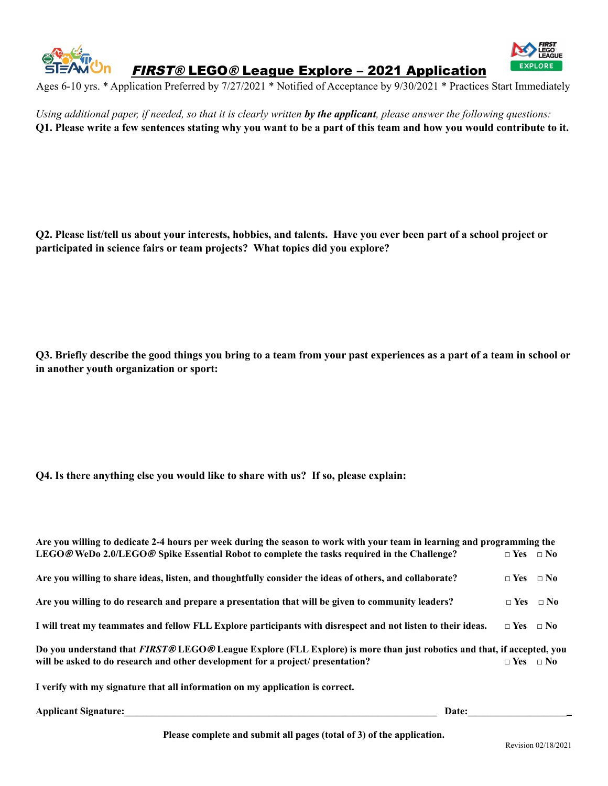

FIRST® LEGO® League Explore – 2021 Application



Ages 6-10 yrs. \* Application Preferred by 7/27/2021 \* Notified of Acceptance by 9/30/2021 \* Practices Start Immediately

Using additional paper, if needed, so that it is clearly written by the applicant, please answer the following questions: O1. Please write a few sentences stating why you want to be a part of this team and how you would contribute to it.

Q2. Please list/tell us about your interests, hobbies, and talents. Have you ever been part of a school project or **participated in science fairs or team projects? What topics did you explore?**

Q3. Briefly describe the good things you bring to a team from your past experiences as a part of a team in school or **in another youth organization or sport:**

## **Q4. Is there anything else you would like to share with us? If so, please explain:**

| Are you willing to dedicate 2-4 hours per week during the season to work with your team in learning and programming the<br>LEGO@WeDo 2.0/LEGO@Spike Essential Robot to complete the tasks required in the Challenge?              | $\neg$ Yes $\neg$ No |  |  |  |
|-----------------------------------------------------------------------------------------------------------------------------------------------------------------------------------------------------------------------------------|----------------------|--|--|--|
| Are you willing to share ideas, listen, and thoughtfully consider the ideas of others, and collaborate?                                                                                                                           | $\Box$ Yes $\Box$ No |  |  |  |
| Are you willing to do research and prepare a presentation that will be given to community leaders?                                                                                                                                | $\Box$ Yes $\Box$ No |  |  |  |
| I will treat my teammates and fellow FLL Explore participants with disrespect and not listen to their ideas.                                                                                                                      | $\Box$ Yes $\Box$ No |  |  |  |
| Do you understand that FIRST® LEGO® League Explore (FLL Explore) is more than just robotics and that, if accepted, you<br>will be asked to do research and other development for a project/ presentation?<br>$\Box$ Yes $\Box$ No |                      |  |  |  |
| I verify with my signature that all information on my application is correct.                                                                                                                                                     |                      |  |  |  |

**Applicant Signature: Date: Date: Date:** *Date:*